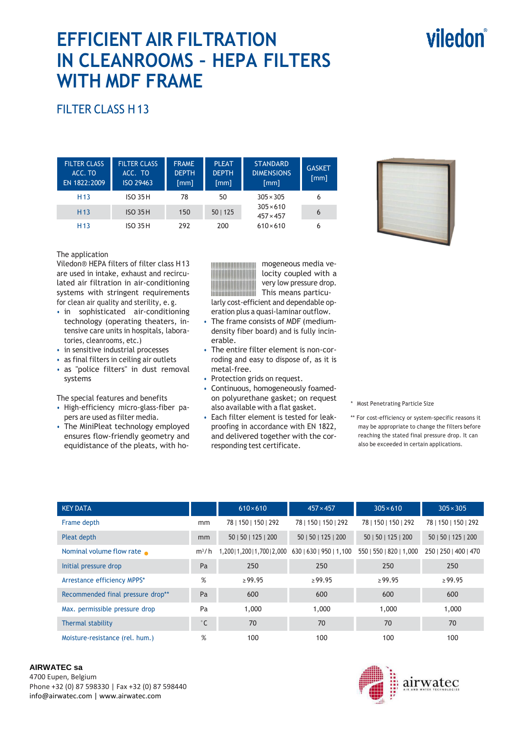# viledon®

# **EFFICIENT AIR FILTRATION IN CLEANROOMS – HEPA FILTERS WITH MDF FRAME**

## FILTER CLASS H 13

| <b>FILTER CLASS</b><br>ACC. TO<br>EN 1822:2009 | <b>FILTER CLASS</b><br>ACC. TO<br>ISO 29463 | <b>FRAME</b><br><b>DEPTH</b><br>$\lceil mm \rceil$ | <b>PLEAT</b><br><b>DEPTH</b><br>[mm] | <b>STANDARD</b><br><b>DIMENSIONS</b><br>[mm] | <b>GASKET</b><br>[mm] |
|------------------------------------------------|---------------------------------------------|----------------------------------------------------|--------------------------------------|----------------------------------------------|-----------------------|
| H <sub>13</sub>                                | <b>ISO 35H</b>                              | 78                                                 | 50                                   | $305 \times 305$                             | 6                     |
| H <sub>13</sub>                                | <b>ISO 35H</b>                              | 150                                                | 50   125                             | $305 \times 610$<br>$457 \times 457$         | 6                     |
| H <sub>13</sub>                                | <b>ISO 35H</b>                              | 292                                                | 200                                  | $610\times 610$                              | 6                     |

#### The application

Viledon® HEPA filters of filter class H 13 are used in intake, exhaust and recirculated air filtration in air-conditioning systems with stringent requirements for clean air quality and sterility, e. g.

- in sophisticated air-conditioning technology (operating theaters, intensive care units in hospitals, laboratories, cleanrooms, etc.)
- in sensitive industrial processes
- as final filters in ceiling air outlets
- as "police filters" in dust removal systems

The special features and benefits

- High-efficiency micro-glass-fiber papers are used as filter media.
- The MiniPleat technology employed ensures flow-friendly geometry and equidistance of the pleats, with ho-

mogeneous media ve-

locity coupled with a very low pressure drop. This means particularly cost-efficient and dependable op-

- eration plus a quasi-laminar outflow. • The frame consists of MDF (mediumdensity fiber board) and is fully incinerable.
- The entire filter element is non-corroding and easy to dispose of, as it is metal-free.
- Protection grids on request.
- Continuous, homogeneously foamedon polyurethane gasket; on request also available with a flat gasket.
- Each filter element is tested for leakproofing in accordance with EN 1822, and delivered together with the corresponding test certificate.

\* Most Penetrating Particle Size

\*\* For cost-efficiency or system-specific reasons it may be appropriate to change the filters before reaching the stated final pressure drop. It can also be exceeded in certain applications.

| <b>KEY DATA</b>                   |              | $610 \times 610$                                        | $457 \times 457$     | $305 \times 610$        | $305 \times 305$      |
|-----------------------------------|--------------|---------------------------------------------------------|----------------------|-------------------------|-----------------------|
| Frame depth                       | mm           | 78   150   150   292                                    | 78   150   150   292 | 78   150   150   292    | 78   150   150   292  |
| Pleat depth                       | mm           | 50   50   125   200                                     | 50   50   125   200  | 50   50   125   200     | 50   50   125   200   |
| Nominal volume flow rate          | $m^3/h$      | 1,200   1,200   1,700   2,000   630   630   950   1,100 |                      | 550   550   820   1,000 | 250   250   400   470 |
| Initial pressure drop             | Pa           | 250                                                     | 250                  | 250                     | 250                   |
| Arrestance efficiency MPPS*       | %            | $\ge 99.95$                                             | $\ge$ 99.95          | >99.95                  | $\ge 99.95$           |
| Recommended final pressure drop** | Pa           | 600                                                     | 600                  | 600                     | 600                   |
| Max. permissible pressure drop    | Pa           | 1,000                                                   | 1,000                | 1,000                   | 1,000                 |
| Thermal stability                 | $^{\circ}$ C | 70                                                      | 70                   | 70                      | 70                    |
| Moisture-resistance (rel. hum.)   | %            | 100                                                     | 100                  | 100                     | 100                   |

#### **AIRWATEC sa**

4700 Eupen, Belgium Phone +32 (0) 87 598330 | Fax +32 (0) 87 598440 info@airwatec.com | www.airwatec.com